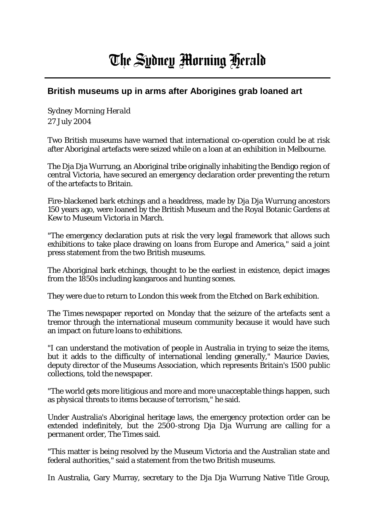## The Sydney Morning Herald

## **British museums up in arms after Aborigines grab loaned art**

*Sydney Morning Herald* 27 July 2004

Two British museums have warned that international co-operation could be at risk after Aboriginal artefacts were seized while on a loan at an exhibition in Melbourne.

The Dja Dja Wurrung, an Aboriginal tribe originally inhabiting the Bendigo region of central Victoria, have secured an emergency declaration order preventing the return of the artefacts to Britain.

Fire-blackened bark etchings and a headdress, made by Dja Dja Wurrung ancestors 150 years ago, were loaned by the British Museum and the Royal Botanic Gardens at Kew to Museum Victoria in March.

"The emergency declaration puts at risk the very legal framework that allows such exhibitions to take place drawing on loans from Europe and America," said a joint press statement from the two British museums.

The Aboriginal bark etchings, thought to be the earliest in existence, depict images from the 1850s including kangaroos and hunting scenes.

They were due to return to London this week from the *Etched on Bark* exhibition.

*The Times* newspaper reported on Monday that the seizure of the artefacts sent a tremor through the international museum community because it would have such an impact on future loans to exhibitions.

"I can understand the motivation of people in Australia in trying to seize the items, but it adds to the difficulty of international lending generally," Maurice Davies, deputy director of the Museums Association, which represents Britain's 1500 public collections, told the newspaper.

"The world gets more litigious and more and more unacceptable things happen, such as physical threats to items because of terrorism," he said.

Under Australia's Aboriginal heritage laws, the emergency protection order can be extended indefinitely, but the 2500-strong Dja Dja Wurrung are calling for a permanent order, *The Times* said.

"This matter is being resolved by the Museum Victoria and the Australian state and federal authorities," said a statement from the two British museums.

In Australia, Gary Murray, secretary to the Dja Dja Wurrung Native Title Group,